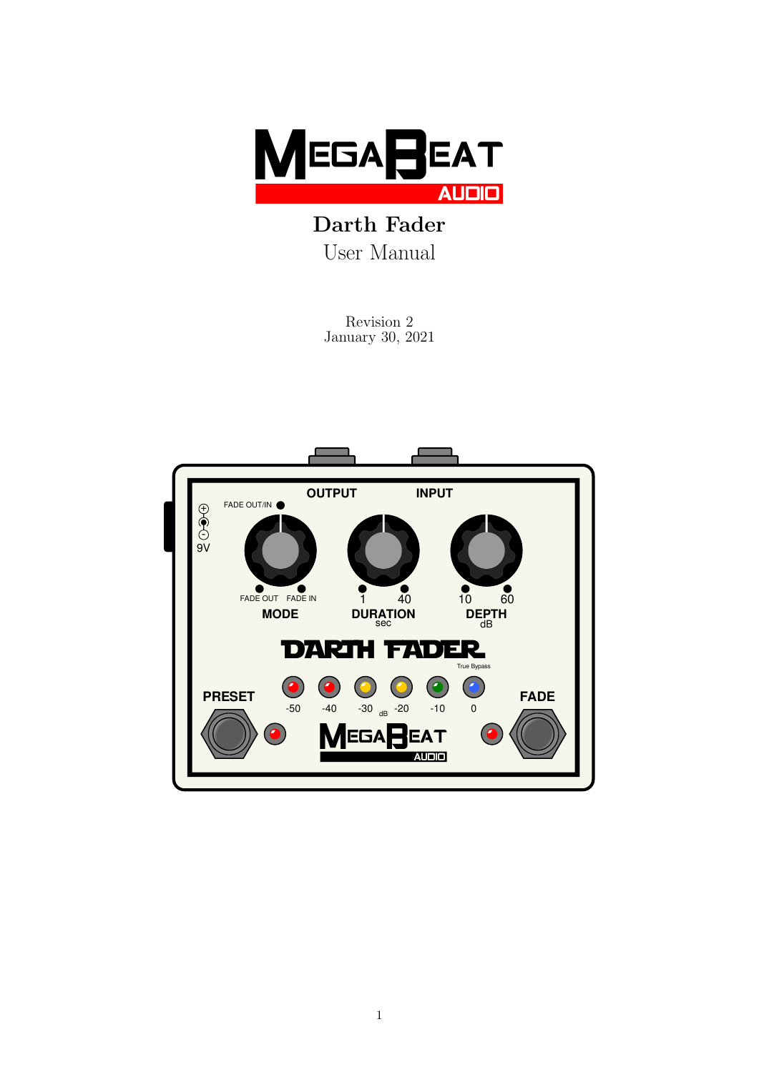

Darth Fader User Manual

> Revision 2 January 30, 2021

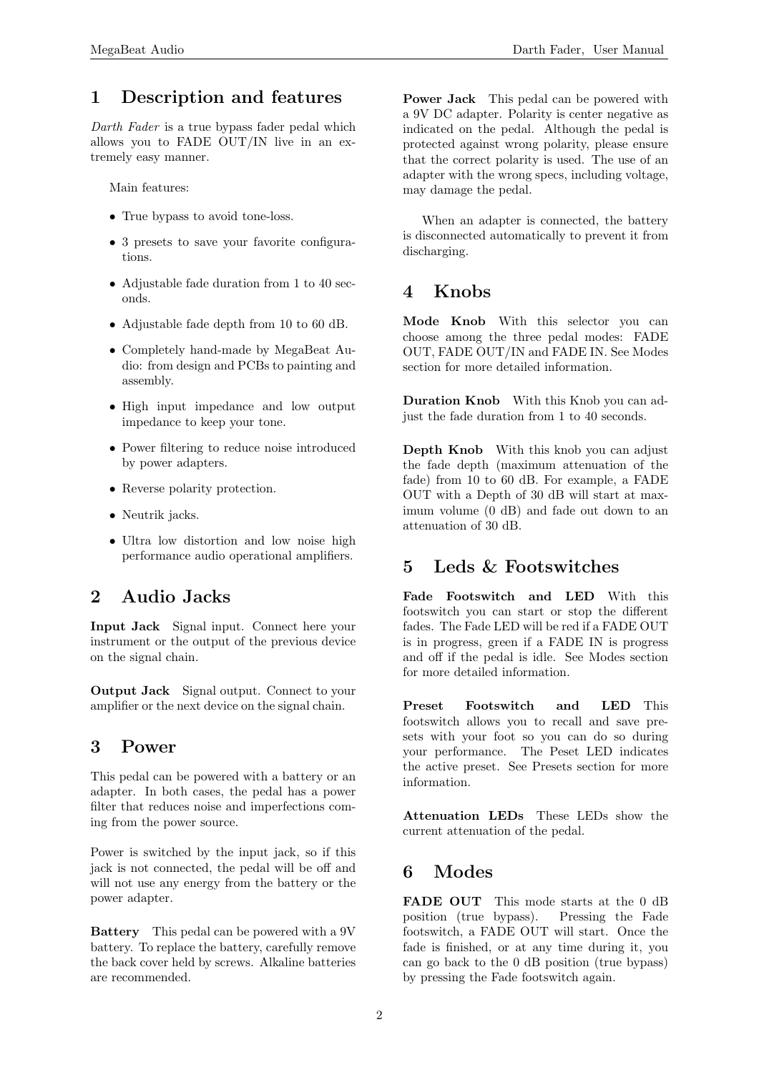#### 1 Description and features

Darth Fader is a true bypass fader pedal which allows you to FADE OUT/IN live in an extremely easy manner.

Main features:

- True bypass to avoid tone-loss.
- 3 presets to save your favorite configurations.
- Adjustable fade duration from 1 to 40 seconds.
- Adjustable fade depth from 10 to 60 dB.
- Completely hand-made by MegaBeat Audio: from design and PCBs to painting and assembly.
- High input impedance and low output impedance to keep your tone.
- Power filtering to reduce noise introduced by power adapters.
- Reverse polarity protection.
- Neutrik jacks.
- Ultra low distortion and low noise high performance audio operational amplifiers.

## 2 Audio Jacks

Input Jack Signal input. Connect here your instrument or the output of the previous device on the signal chain.

Output Jack Signal output. Connect to your amplifier or the next device on the signal chain.

#### 3 Power

This pedal can be powered with a battery or an adapter. In both cases, the pedal has a power filter that reduces noise and imperfections coming from the power source.

Power is switched by the input jack, so if this jack is not connected, the pedal will be off and will not use any energy from the battery or the power adapter.

Battery This pedal can be powered with a 9V battery. To replace the battery, carefully remove the back cover held by screws. Alkaline batteries are recommended.

Power Jack This pedal can be powered with a 9V DC adapter. Polarity is center negative as indicated on the pedal. Although the pedal is protected against wrong polarity, please ensure that the correct polarity is used. The use of an adapter with the wrong specs, including voltage, may damage the pedal.

When an adapter is connected, the battery is disconnected automatically to prevent it from discharging.

# 4 Knobs

Mode Knob With this selector you can choose among the three pedal modes: FADE OUT, FADE OUT/IN and FADE IN. See Modes section for more detailed information.

Duration Knob With this Knob you can adjust the fade duration from 1 to 40 seconds.

Depth Knob With this knob you can adjust the fade depth (maximum attenuation of the fade) from 10 to 60 dB. For example, a FADE OUT with a Depth of 30 dB will start at maximum volume (0 dB) and fade out down to an attenuation of 30 dB.

## 5 Leds & Footswitches

Fade Footswitch and LED With this footswitch you can start or stop the different fades. The Fade LED will be red if a FADE OUT is in progress, green if a FADE IN is progress and off if the pedal is idle. See Modes section for more detailed information.

Preset Footswitch and LED This footswitch allows you to recall and save presets with your foot so you can do so during your performance. The Peset LED indicates the active preset. See Presets section for more information.

Attenuation LEDs These LEDs show the current attenuation of the pedal.

# 6 Modes

FADE OUT This mode starts at the 0 dB position (true bypass). Pressing the Fade footswitch, a FADE OUT will start. Once the fade is finished, or at any time during it, you can go back to the 0 dB position (true bypass) by pressing the Fade footswitch again.